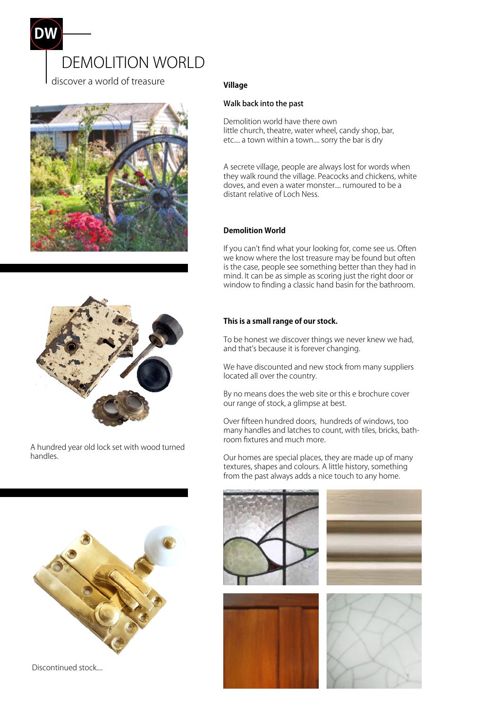





A hundred year old lock set with wood turned handles.



Discontinued stock....

# **Village**

#### Walk back into the past

Demolition world have there own little church, theatre, water wheel, candy shop, bar, etc.... a town within a town.... sorry the bar is dry

A secrete village, people are always lost for words when they walk round the village. Peacocks and chickens, white doves, and even a water monster.... rumoured to be a distant relative of Loch Ness.

## **Demolition World**

If you can't find what your looking for, come see us. Often we know where the lost treasure may be found but often is the case, people see something better than they had in mind. It can be as simple as scoring just the right door or window to finding a classic hand basin for the bathroom.

### **This is a small range of our stock.**

To be honest we discover things we never knew we had, and that's because it is forever changing.

We have discounted and new stock from many suppliers located all over the country.

By no means does the web site or this e brochure cover our range of stock, a glimpse at best.

Over fifteen hundred doors, hundreds of windows, too many handles and latches to count, with tiles, bricks, bathroom fixtures and much more.

Our homes are special places, they are made up of many textures, shapes and colours. A little history, something from the past always adds a nice touch to any home.





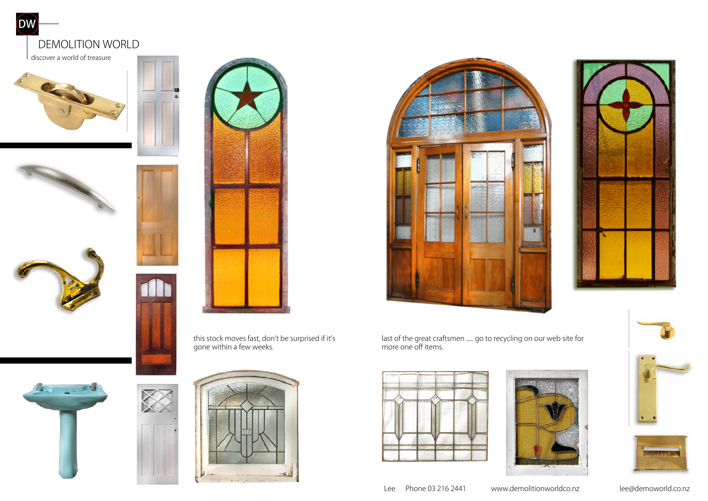



this stock moves fast, don't be surprised if it's gone within a few weeks.







last of the great craftsmen ..... go to recycling on our web site for more one off items.











Lee Phone 03 216 2441 www.demolitionworldco.nz lee@demoworld.co.nz